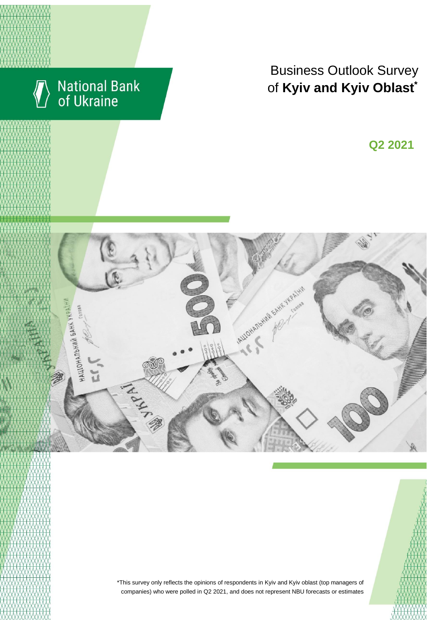

# Business Outlook Survey of Kyiv and Kyiv Oblast<sup>\*</sup>

I квартал 2018 року<br>Видео и се од 2018 година **Q2 2021**





\*This survey only reflects the opinions of respondents in Kyiv and Kyiv oblast (top managers of companies) who were polled in Q2 2021, and does not represent NBU forecasts or estimates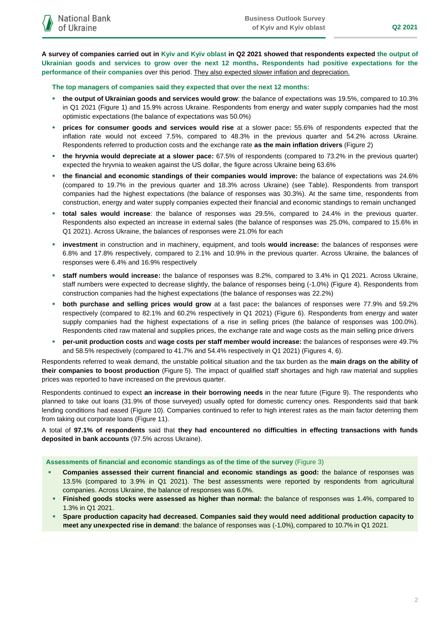**A survey of companies carried out in Kyiv and Kyiv oblast in Q2 2021 showed that respondents expected the output of Ukrainian goods and services to grow over the next 12 months. Respondents had positive expectations for the performance of their companies** over this period. They also expected slower inflation and depreciation.

## **The top managers of companies said they expected that over the next 12 months:**

- **the output of Ukrainian goods and services would grow**: the balance of expectations was 19.5%, compared to 10.3% in Q1 2021 (Figure 1) and 15.9% across Ukraine. Respondents from energy and water supply companies had the most optimistic expectations (the balance of expectations was 50.0%)
- **prices for consumer goods and services would rise** at a slower pace**:** 55.6% of respondents expected that the inflation rate would not exceed 7.5%, compared to 48.3% in the previous quarter and 54.2% across Ukraine. Respondents referred to production costs and the exchange rate **as the main inflation drivers** (Figure 2)
- **the hryvnia would depreciate at a slower pace:** 67.5% of respondents (compared to 73.2% in the previous quarter) expected the hryvnia to weaken against the US dollar, the figure across Ukraine being 63.6%
- **the financial and economic standings of their companies would improve:** the balance of expectations was 24.6% (compared to 19.7% in the previous quarter and 18.3% across Ukraine) (see Table). Respondents from transport companies had the highest expectations (the balance of responses was 30.3%). At the same time, respondents from construction, energy and water supply companies expected their financial and economic standings to remain unchanged
- **total sales would increase**: the balance of responses was 29.5%, compared to 24.4% in the previous quarter. Respondents also expected an increase in external sales (the balance of responses was 25.0%, compared to 15.6% in Q1 2021). Across Ukraine, the balances of responses were 21.0% for each
- **investment** in construction and in machinery, equipment, and tools **would increase:** the balances of responses were 6.8% and 17.8% respectively, compared to 2.1% and 10.9% in the previous quarter. Across Ukraine, the balances of responses were 6.4% and 16.9% respectively
- **staff numbers would increase:** the balance of responses was 8.2%, compared to 3.4% in Q1 2021. Across Ukraine, staff numbers were expected to decrease slightly, the balance of responses being (-1.0%) (Figure 4). Respondents from construction companies had the highest expectations (the balance of responses was 22.2%)
- **both purchase and selling prices would grow** at a fast pace**:** the balances of responses were 77.9% and 59.2% respectively (compared to 82.1% and 60.2% respectively in Q1 2021) (Figure 6). Respondents from energy and water supply companies had the highest expectations of a rise in selling prices (the balance of responses was 100.0%). Respondents cited raw material and supplies prices, the exchange rate and wage costs as the main selling price drivers
- **per-unit production costs** and **wage costs per staff member would increase:** the balances of responses were 49.7% and 58.5% respectively (compared to 41.7% and 54.4% respectively in Q1 2021) (Figures 4, 6).

Respondents referred to weak demand, the unstable political situation and the tax burden as the **main drags on the ability of their companies to boost production** (Figure 5). The impact of qualified staff shortages and high raw material and supplies prices was reported to have increased on the previous quarter.

Respondents continued to expect **an increase in their borrowing needs** in the near future (Figure 9). The respondents who planned to take out loans (31.9% of those surveyed) usually opted for domestic currency ones. Respondents said that bank lending conditions had eased (Figure 10). Companies continued to refer to high interest rates as the main factor deterring them from taking out corporate loans (Figure 11).

A total of **97.1% of respondents** said that **they had encountered no difficulties in effecting transactions with funds deposited in bank accounts** (97.5% across Ukraine).

**Assessments of financial and economic standings as of the time of the survey** (Figure 3)

- **Companies assessed their current financial and economic standings as good:** the balance of responses was 13.5% (compared to 3.9% in Q1 2021). The best assessments were reported by respondents from agricultural companies. Across Ukraine, the balance of responses was 6.0%.
- **Finished goods stocks were assessed as higher than normal:** the balance of responses was 1.4%, compared to 1.3% in Q1 2021.
- **Spare production capacity had decreased. Companies said they would need additional production capacity to meet any unexpected rise in demand**: the balance of responses was (-1.0%), compared to 10.7% in Q1 2021.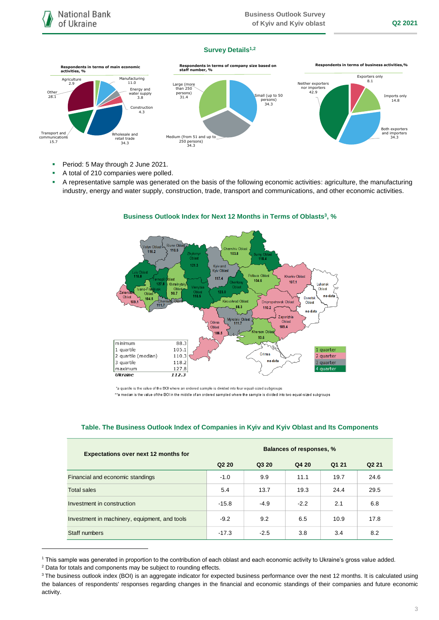## **Survey Details1,2**



- Period: 5 May through 2 June 2021.
- A total of 210 companies were polled.
- A representative sample was generated on the basis of the following economic activities: agriculture, the manufacturing industry, energy and water supply, construction, trade, transport and communications, and other economic activities.



## **Business Outlook Index for Next 12 Months in Terms of Oblasts<sup>3</sup> , %**

\*a quartile is the value of the BOI where an ordered sample is divided into four equal-sized subgroups \*\*a median is the value of the BOI in the middle of an ordered sampled where the sample is divided into two equal-sized subgroups

## **Table. The Business Outlook Index of Companies in Kyiv and Kyiv Oblast and Its Components**

| <b>Expectations over next 12 months for</b>   | <b>Balances of responses, %</b> |        |        |       |                   |
|-----------------------------------------------|---------------------------------|--------|--------|-------|-------------------|
|                                               | Q <sub>2</sub> 2 <sub>0</sub>   | Q3 20  | Q4 20  | Q1 21 | Q <sub>2</sub> 21 |
| Financial and economic standings              | $-1.0$                          | 9.9    | 11.1   | 19.7  | 24.6              |
| Total sales                                   | 5.4                             | 13.7   | 19.3   | 24.4  | 29.5              |
| Investment in construction                    | $-15.8$                         | $-4.9$ | $-2.2$ | 2.1   | 6.8               |
| Investment in machinery, equipment, and tools | $-9.2$                          | 9.2    | 6.5    | 10.9  | 17.8              |
| Staff numbers                                 | $-17.3$                         | $-2.5$ | 3.8    | 3.4   | 8.2               |

<sup>1</sup> This sample was generated in proportion to the contribution of each oblast and each economic activity to Ukraine's gross value added.

1

<sup>2</sup> Data for totals and components may be subject to rounding effects.

<sup>&</sup>lt;sup>3</sup> The business outlook index (BOI) is an aggregate indicator for expected business performance over the next 12 months. It is calculated using the balances of respondents' responses regarding changes in the financial and economic standings of their companies and future economic activity.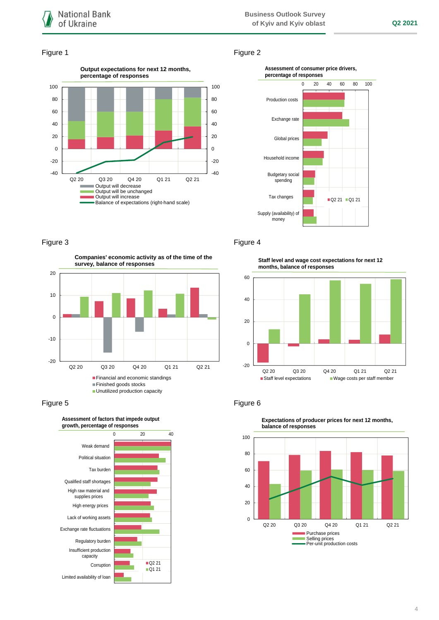## Figure 1 Figure 2





 $-20$ -10 0 10 20 Q2 20 Q3 20 Q4 20 Q1 21 Q2 21 **Companies' economic activity as of the time of the survey, balance of responses Financial and economic standings** Finished goods stocks

**Unutilized production capacity** 





Figure 3 **Figure 4** 

**Staff level and wage cost expectations for next 12 months, balance of responses**





**Expectations of producer prices for next 12 months, balance of responses**